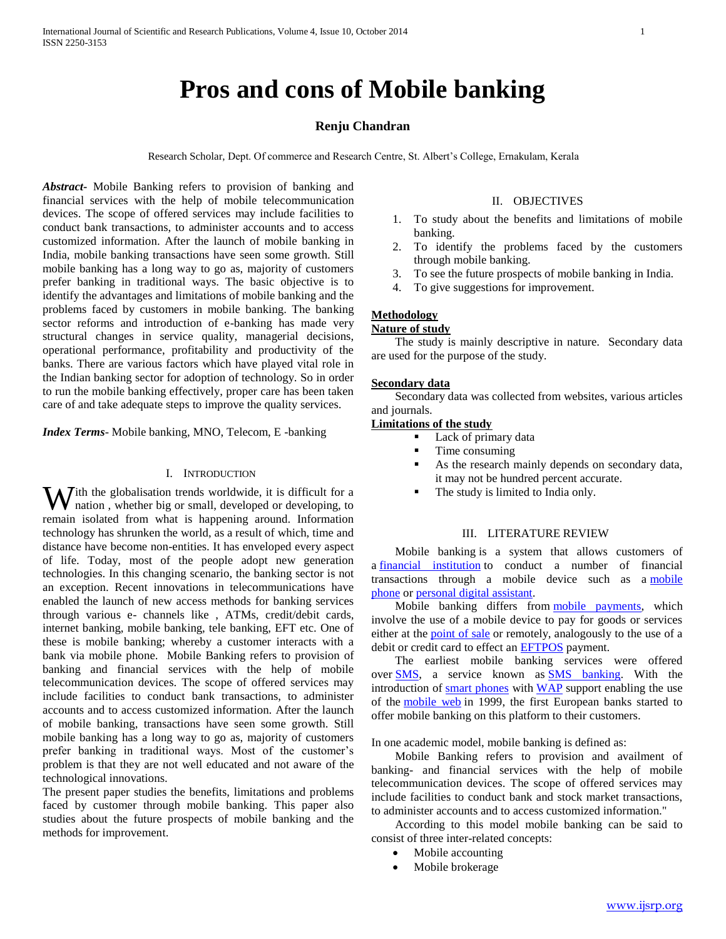# **Pros and cons of Mobile banking**

## **Renju Chandran**

Research Scholar, Dept. Of commerce and Research Centre, St. Albert's College, Ernakulam, Kerala

*Abstract***-** Mobile Banking refers to provision of banking and financial services with the help of mobile telecommunication devices. The scope of offered services may include facilities to conduct bank transactions, to administer accounts and to access customized information. After the launch of mobile banking in India, mobile banking transactions have seen some growth. Still mobile banking has a long way to go as, majority of customers prefer banking in traditional ways. The basic objective is to identify the advantages and limitations of mobile banking and the problems faced by customers in mobile banking. The banking sector reforms and introduction of e-banking has made very structural changes in service quality, managerial decisions, operational performance, profitability and productivity of the banks. There are various factors which have played vital role in the Indian banking sector for adoption of technology. So in order to run the mobile banking effectively, proper care has been taken care of and take adequate steps to improve the quality services.

*Index Terms*- Mobile banking, MNO, Telecom, E -banking

## I. INTRODUCTION

With the globalisation trends worldwide, it is difficult for a nation, whether big or small, developed or developing, to nation , whether big or small, developed or developing, to remain isolated from what is happening around. Information technology has shrunken the world, as a result of which, time and distance have become non-entities. It has enveloped every aspect of life. Today, most of the people adopt new generation technologies. In this changing scenario, the banking sector is not an exception. Recent innovations in telecommunications have enabled the launch of new access methods for banking services through various e- channels like , ATMs, credit/debit cards, internet banking, mobile banking, tele banking, EFT etc. One of these is mobile banking; whereby a customer interacts with a bank via mobile phone. Mobile Banking refers to provision of banking and financial services with the help of mobile telecommunication devices. The scope of offered services may include facilities to conduct bank transactions, to administer accounts and to access customized information. After the launch of mobile banking, transactions have seen some growth. Still mobile banking has a long way to go as, majority of customers prefer banking in traditional ways. Most of the customer's problem is that they are not well educated and not aware of the technological innovations.

The present paper studies the benefits, limitations and problems faced by customer through mobile banking. This paper also studies about the future prospects of mobile banking and the methods for improvement.

#### II. OBJECTIVES

- 1. To study about the benefits and limitations of mobile banking.
- 2. To identify the problems faced by the customers through mobile banking.
- 3. To see the future prospects of mobile banking in India.
- 4. To give suggestions for improvement.

# **Methodology**

## **Nature of study**

 The study is mainly descriptive in nature. Secondary data are used for the purpose of the study.

#### **Secondary data**

 Secondary data was collected from websites, various articles and journals.

## **Limitations of the study**

- **Lack of primary data**
- Time consuming
- As the research mainly depends on secondary data, it may not be hundred percent accurate.
- The study is limited to India only.

#### III. LITERATURE REVIEW

 Mobile banking is a system that allows customers of a [financial institution](http://en.wikipedia.org/wiki/Financial_institution) to conduct a number of financial transactions through a mobile device such as a [mobile](http://en.wikipedia.org/wiki/Mobile_phone) [phone](http://en.wikipedia.org/wiki/Mobile_phone) or [personal digital assistant.](http://en.wikipedia.org/wiki/Personal_digital_assistant)

 Mobile banking differs from [mobile payments,](http://en.wikipedia.org/wiki/Mobile_payment) which involve the use of a mobile device to pay for goods or services either at the **[point of sale](http://en.wikipedia.org/wiki/Point_of_sale)** or remotely, analogously to the use of a debit or credit card to effect an [EFTPOS](http://en.wikipedia.org/wiki/EFTPOS) payment.

 The earliest mobile banking services were offered over **SMS**, a service known as **SMS** banking. With the introduction of [smart phones](http://en.wikipedia.org/wiki/Smart_phones) with [WAP](http://en.wikipedia.org/wiki/Wireless_Application_Protocol) support enabling the use of the [mobile web](http://en.wikipedia.org/wiki/Mobile_web) in 1999, the first European banks started to offer mobile banking on this platform to their customers.

In one academic model, mobile banking is defined as:

 Mobile Banking refers to provision and availment of banking- and financial services with the help of mobile telecommunication devices. The scope of offered services may include facilities to conduct bank and stock market transactions, to administer accounts and to access customized information."

 According to this model mobile banking can be said to consist of three inter-related concepts:

- Mobile accounting
- Mobile brokerage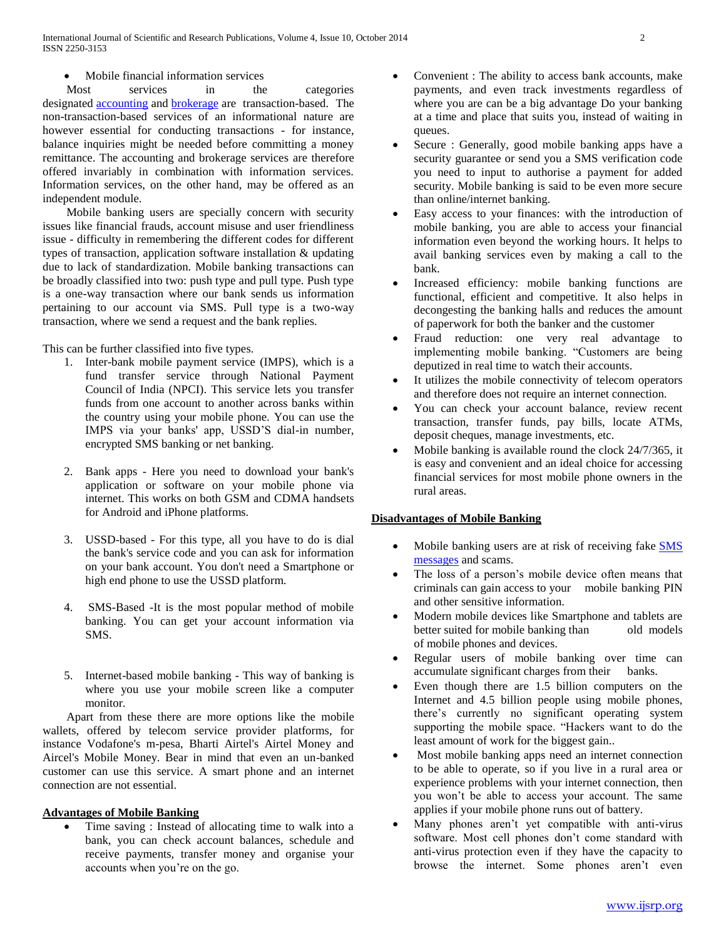• Mobile financial information services

Most services in the categories designated [accounting](http://en.wikipedia.org/wiki/Accounting) and [brokerage](http://en.wikipedia.org/wiki/Brokerage) are transaction-based. The non-transaction-based services of an informational nature are however essential for conducting transactions - for instance, balance inquiries might be needed before committing a money remittance. The accounting and brokerage services are therefore offered invariably in combination with information services. Information services, on the other hand, may be offered as an independent module.

 Mobile banking users are specially concern with security issues like financial frauds, account misuse and user friendliness issue - difficulty in remembering the different codes for different types of transaction, application software installation & updating due to lack of standardization. Mobile banking transactions can be broadly classified into two: push type and pull type. Push type is a one-way transaction where our bank sends us information pertaining to our account via SMS. Pull type is a two-way transaction, where we send a request and the bank replies.

This can be further classified into five types.

- 1. Inter-bank mobile payment service (IMPS), which is a fund transfer service through National Payment Council of India (NPCI). This service lets you transfer funds from one account to another across banks within the country using your mobile phone. You can use the IMPS via your banks' app, USSD'S dial-in number, encrypted SMS banking or net banking.
- 2. Bank apps Here you need to download your bank's application or software on your mobile phone via internet. This works on both GSM and CDMA handsets for Android and iPhone platforms.
- 3. USSD-based For this type, all you have to do is dial the bank's service code and you can ask for information on your bank account. You don't need a Smartphone or high end phone to use the USSD platform.
- 4. SMS-Based -It is the most popular method of mobile banking. You can get your account information via SMS.
- 5. Internet-based mobile banking This way of banking is where you use your mobile screen like a computer monitor.

 Apart from these there are more options like the mobile wallets, offered by telecom service provider platforms, for instance Vodafone's m-pesa, Bharti Airtel's Airtel Money and Aircel's Mobile Money. Bear in mind that even an un-banked customer can use this service. A smart phone and an internet connection are not essential.

# **Advantages of Mobile Banking**

 Time saving : Instead of allocating time to walk into a bank, you can check account balances, schedule and receive payments, transfer money and organise your accounts when you're on the go.

- Convenient : The ability to access bank accounts, make payments, and even track investments regardless of where you are can be a big advantage Do your banking at a time and place that suits you, instead of waiting in queues.
- Secure : Generally, good mobile banking apps have a security guarantee or send you a SMS verification code you need to input to authorise a payment for added security. Mobile banking is said to be even more secure than online/internet banking.
- Easy access to your finances: with the introduction of mobile banking, you are able to access your financial information even beyond the working hours. It helps to avail banking services even by making a call to the bank.
- Increased efficiency: mobile banking functions are functional, efficient and competitive. It also helps in decongesting the banking halls and reduces the amount of paperwork for both the banker and the customer
- Fraud reduction: one very real advantage to implementing mobile banking. "Customers are being deputized in real time to watch their accounts.
- It utilizes the mobile connectivity of telecom operators and therefore does not require an internet connection.
- You can check your account balance, review recent transaction, transfer funds, pay bills, locate ATMs, deposit cheques, manage investments, etc.
- Mobile banking is available round the clock 24/7/365, it is easy and convenient and an ideal choice for accessing financial services for most mobile phone owners in the rural areas.

# **Disadvantages of Mobile Banking**

- Mobile banking users are at risk of receiving fake [SMS](http://mauconline.net/2012/01/08/5-benefits-of-sms-marketing-for-business/?utm_source=socialmedia&utm_medium=blog_text_link&utm_campaign=mauco_blog)  [messages](http://mauconline.net/2012/01/08/5-benefits-of-sms-marketing-for-business/?utm_source=socialmedia&utm_medium=blog_text_link&utm_campaign=mauco_blog) and scams.
- The loss of a person's mobile device often means that criminals can gain access to your mobile banking PIN and other sensitive information.
- Modern mobile devices like Smartphone and tablets are better suited for mobile banking than old models of mobile phones and devices.
- Regular users of mobile banking over time can accumulate significant charges from their banks.
- Even though there are 1.5 billion computers on the Internet and 4.5 billion people using mobile phones, there's currently no significant operating system supporting the mobile space. "Hackers want to do the least amount of work for the biggest gain..
- Most mobile banking apps need an internet connection to be able to operate, so if you live in a rural area or experience problems with your internet connection, then you won't be able to access your account. The same applies if your mobile phone runs out of battery.
- Many phones aren't yet compatible with anti-virus software. Most cell phones don't come standard with anti-virus protection even if they have the capacity to browse the internet. Some phones aren't even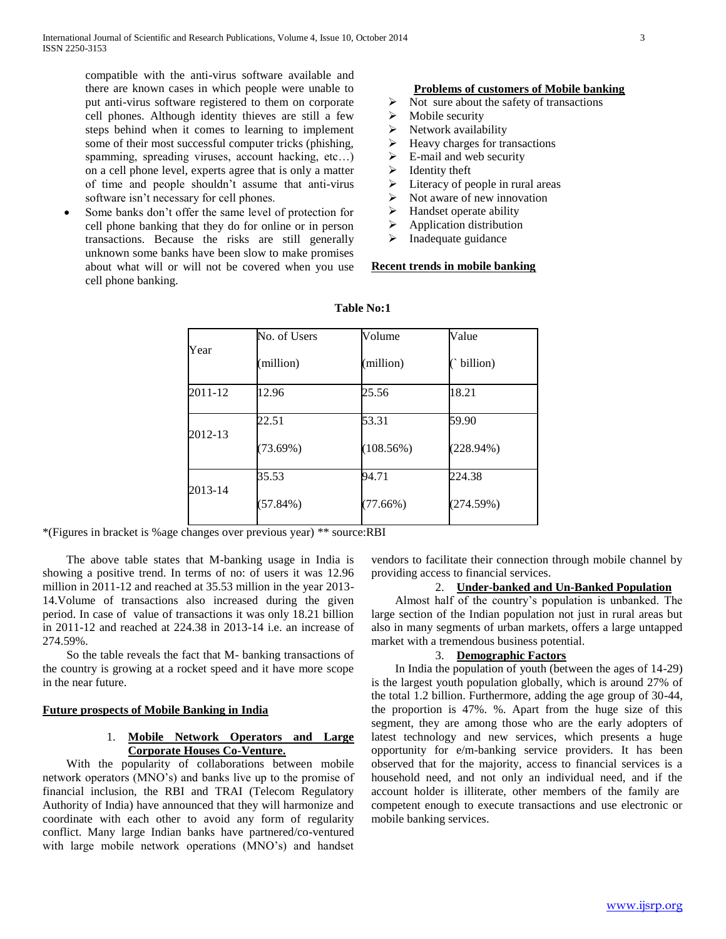compatible with the anti-virus software available and there are known cases in which people were unable to put anti-virus software registered to them on corporate cell phones. Although identity thieves are still a few steps behind when it comes to learning to implement some of their most successful computer tricks (phishing, spamming, spreading viruses, account hacking, etc…) on a cell phone level, experts agree that is only a matter of time and people shouldn't assume that anti-virus software isn't necessary for cell phones.

 Some banks don't offer the same level of protection for cell phone banking that they do for online or in person transactions. Because the risks are still generally unknown some banks have been slow to make promises about what will or will not be covered when you use cell phone banking.

### **Problems of customers of Mobile banking**

- $\triangleright$  Not sure about the safety of transactions
- $\triangleright$  Mobile security
- $\triangleright$  Network availability
- $\blacktriangleright$  Heavy charges for transactions
- $\triangleright$  E-mail and web security
- $\blacktriangleright$  Identity theft
- $\triangleright$  Literacy of people in rural areas
- $\triangleright$  Not aware of new innovation
- $\triangleright$  Handset operate ability
- $\triangleright$  Application distribution
- $\triangleright$  Inadequate guidance

## **Recent trends in mobile banking**

| Year    | No. of Users | Volume    | Value        |
|---------|--------------|-----------|--------------|
|         | million)     | (million) | billion)     |
| 2011-12 | 12.96        | 25.56     | 18.21        |
| 2012-13 | 22.51        | 53.31     | 59.90        |
|         | $(73.69\%)$  | (108.56%) | $(228.94\%)$ |
| 2013-14 | 35.53        | 94.71     | 224.38       |
|         | (57.84%)     | (77.66%)  | (274.59%)    |

## **Table No:1**

\*(Figures in bracket is %age changes over previous year) \*\* source:RBI

 The above table states that M-banking usage in India is showing a positive trend. In terms of no: of users it was 12.96 million in 2011-12 and reached at 35.53 million in the year 2013- 14.Volume of transactions also increased during the given period. In case of value of transactions it was only 18.21 billion in 2011-12 and reached at 224.38 in 2013-14 i.e. an increase of 274.59%.

 So the table reveals the fact that M- banking transactions of the country is growing at a rocket speed and it have more scope in the near future.

## **Future prospects of Mobile Banking in India**

# 1. **Mobile Network Operators and Large Corporate Houses Co-Venture.**

 With the popularity of collaborations between mobile network operators (MNO's) and banks live up to the promise of financial inclusion, the RBI and TRAI (Telecom Regulatory Authority of India) have announced that they will harmonize and coordinate with each other to avoid any form of regularity conflict. Many large Indian banks have partnered/co-ventured with large mobile network operations (MNO's) and handset

vendors to facilitate their connection through mobile channel by providing access to financial services.

## 2. **Under-banked and Un-Banked Population**

 Almost half of the country's population is unbanked. The large section of the Indian population not just in rural areas but also in many segments of urban markets, offers a large untapped market with a tremendous business potential.

#### 3. **Demographic Factors**

 In India the population of youth (between the ages of 14-29) is the largest youth population globally, which is around 27% of the total 1.2 billion. Furthermore, adding the age group of 30-44, the proportion is 47%. %. Apart from the huge size of this segment, they are among those who are the early adopters of latest technology and new services, which presents a huge opportunity for e/m-banking service providers. It has been observed that for the majority, access to financial services is a household need, and not only an individual need, and if the account holder is illiterate, other members of the family are competent enough to execute transactions and use electronic or mobile banking services.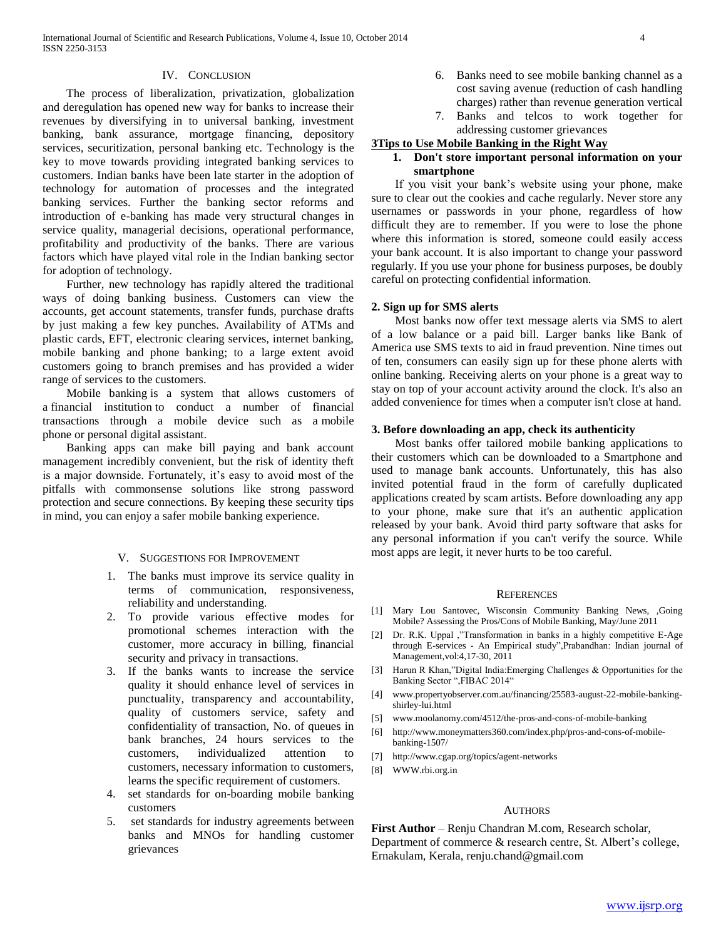## IV. CONCLUSION

 The process of liberalization, privatization, globalization and deregulation has opened new way for banks to increase their revenues by diversifying in to universal banking, investment banking, bank assurance, mortgage financing, depository services, securitization, personal banking etc. Technology is the key to move towards providing integrated banking services to customers. Indian banks have been late starter in the adoption of technology for automation of processes and the integrated banking services. Further the banking sector reforms and introduction of e-banking has made very structural changes in service quality, managerial decisions, operational performance, profitability and productivity of the banks. There are various factors which have played vital role in the Indian banking sector for adoption of technology.

 Further, new technology has rapidly altered the traditional ways of doing banking business. Customers can view the accounts, get account statements, transfer funds, purchase drafts by just making a few key punches. Availability of ATMs and plastic cards, EFT, electronic clearing services, internet banking, mobile banking and phone banking; to a large extent avoid customers going to branch premises and has provided a wider range of services to the customers.

 Mobile banking is a system that allows customers of a financial institution to conduct a number of financial transactions through a mobile device such as a mobile phone or personal digital assistant.

 Banking apps can make bill paying and bank account management incredibly convenient, but the risk of identity theft is a major downside. Fortunately, it's easy to avoid most of the pitfalls with commonsense solutions like strong password protection and secure connections. By keeping these security tips in mind, you can enjoy a safer mobile banking experience.

#### V. SUGGESTIONS FOR IMPROVEMENT

- 1. The banks must improve its service quality in terms of communication, responsiveness, reliability and understanding.
- 2. To provide various effective modes for promotional schemes interaction with the customer, more accuracy in billing, financial security and privacy in transactions.
- 3. If the banks wants to increase the service quality it should enhance level of services in punctuality, transparency and accountability, quality of customers service, safety and confidentiality of transaction, No. of queues in bank branches, 24 hours services to the customers, individualized attention to customers, necessary information to customers, learns the specific requirement of customers.
- 4. set standards for on-boarding mobile banking customers
- 5. set standards for industry agreements between banks and MNOs for handling customer grievances
- 6. Banks need to see mobile banking channel as a cost saving avenue (reduction of cash handling charges) rather than revenue generation vertical
- 7. Banks and telcos to work together for addressing customer grievances

# **3Tips to Use Mobile Banking in the Right Way**

## **1. Don't store important personal information on your smartphone**

 If you visit your bank's website using your phone, make sure to clear out the cookies and cache regularly. Never store any usernames or passwords in your phone, regardless of how difficult they are to remember. If you were to lose the phone where this information is stored, someone could easily access your bank account. It is also important to change your password regularly. If you use your phone for business purposes, be doubly careful on protecting confidential information.

#### **2. Sign up for SMS alerts**

 Most banks now offer text message alerts via SMS to alert of a low balance or a paid bill. Larger banks like Bank of America use SMS texts to aid in fraud prevention. Nine times out of ten, consumers can easily sign up for these phone alerts with online banking. Receiving alerts on your phone is a great way to stay on top of your account activity around the clock. It's also an added convenience for times when a computer isn't close at hand.

#### **3. Before downloading an app, check its authenticity**

 Most banks offer tailored mobile banking applications to their customers which can be downloaded to a Smartphone and used to manage bank accounts. Unfortunately, this has also invited potential fraud in the form of carefully duplicated applications created by scam artists. Before downloading any app to your phone, make sure that it's an authentic application released by your bank. Avoid third party software that asks for any personal information if you can't verify the source. While most apps are legit, it never hurts to be too careful.

#### **REFERENCES**

- [1] Mary Lou Santovec, Wisconsin Community Banking News, ,Going Mobile? Assessing the Pros/Cons of Mobile Banking, May/June 2011
- [2] Dr. R.K. Uppal ,"Transformation in banks in a highly competitive E-Age through E-services - An Empirical study",Prabandhan: Indian journal of Management,vol:4,17-30, 2011
- [3] Harun R Khan,"Digital India:Emerging Challenges & Opportunities for the Banking Sector ",FIBAC 2014"
- [4] www.propertyobserver.com.au/financing/25583-august-22-mobile-bankingshirley-lui.html
- [5] www.moolanomy.com/4512/the-pros-and-cons-of-mobile-banking
- [6] http://www.moneymatters360.com/index.php/pros-and-cons-of-mobilebanking-1507/
- [7] http://www.cgap.org/topics/agent-networks
- [8] WWW.rbi.org.in

#### **AUTHORS**

**First Author** – Renju Chandran M.com, Research scholar, Department of commerce & research centre, St. Albert's college, Ernakulam, Kerala, renju.chand@gmail.com